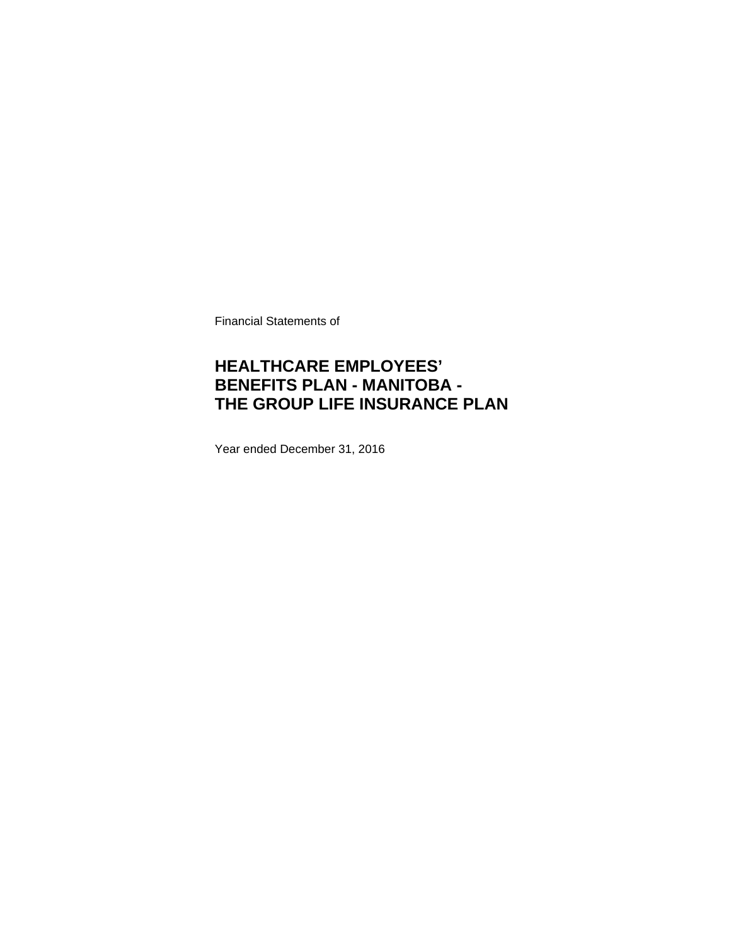Financial Statements of

### **HEALTHCARE EMPLOYEES' BENEFITS PLAN - MANITOBA - THE GROUP LIFE INSURANCE PLAN**

Year ended December 31, 2016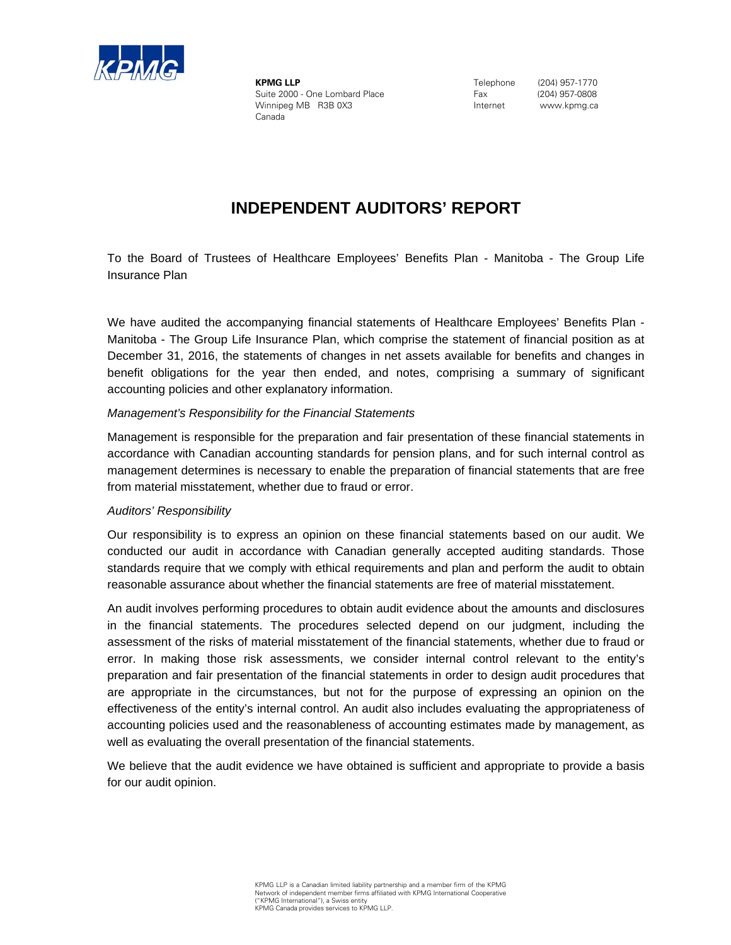

**KPMG LLP** Suite 2000 - One Lombard Place Winnipeg MB R3B 0X3 Canada

 Telephone (204) 957-1770 Fax (204) 957-0808 Internet www.kpmg.ca

### **INDEPENDENT AUDITORS' REPORT**

Insurance Plan To the Board of Trustees of Healthcare Employees' Benefits Plan - Manitoba - The Group Life

We have audited the accompanying financial statements of Healthcare Employees' Benefits Plan -Manitoba - The Group Life Insurance Plan, which comprise the statement of financial position as at December 31, 2016, the statements of changes in net assets available for benefits and changes in benefit obligations for the year then ended, and notes, comprising a summary of significant accounting policies and other explanatory information.

### *Management's Responsibility for the Financial Statements*

Management is responsible for the preparation and fair presentation of these financial statements in accordance with Canadian accounting standards for pension plans, and for such internal control as management determines is necessary to enable the preparation of financial statements that are free from material misstatement, whether due to fraud or error.

#### *Auditors' Responsibility*

Our responsibility is to express an opinion on these financial statements based on our audit. We conducted our audit in accordance with Canadian generally accepted auditing standards. Those standards require that we comply with ethical requirements and plan and perform the audit to obtain reasonable assurance about whether the financial statements are free of material misstatement.

An audit involves performing procedures to obtain audit evidence about the amounts and disclosures in the financial statements. The procedures selected depend on our judgment, including the assessment of the risks of material misstatement of the financial statements, whether due to fraud or error. In making those risk assessments, we consider internal control relevant to the entity's preparation and fair presentation of the financial statements in order to design audit procedures that are appropriate in the circumstances, but not for the purpose of expressing an opinion on the effectiveness of the entity's internal control. An audit also includes evaluating the appropriateness of accounting policies used and the reasonableness of accounting estimates made by management, as well as evaluating the overall presentation of the financial statements.

We believe that the audit evidence we have obtained is sufficient and appropriate to provide a basis for our audit opinion.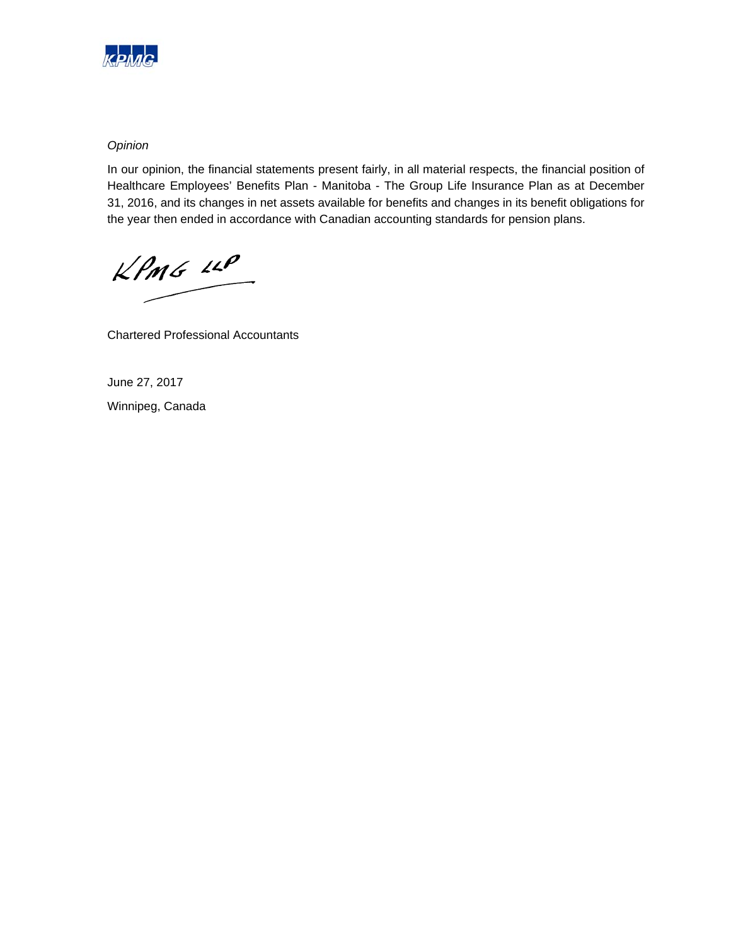

### *Opinion*

In our opinion, the financial statements present fairly, in all material respects, the financial position of Healthcare Employees' Benefits Plan - Manitoba - The Group Life Insurance Plan as at December 31, 2016, and its changes in net assets available for benefits and changes in its benefit obligations for the year then ended in accordance with Canadian accounting standards for pension plans.

 $KPMG$  14P

Chartered Professional Accountants

June 27, 2017 Winnipeg, Canada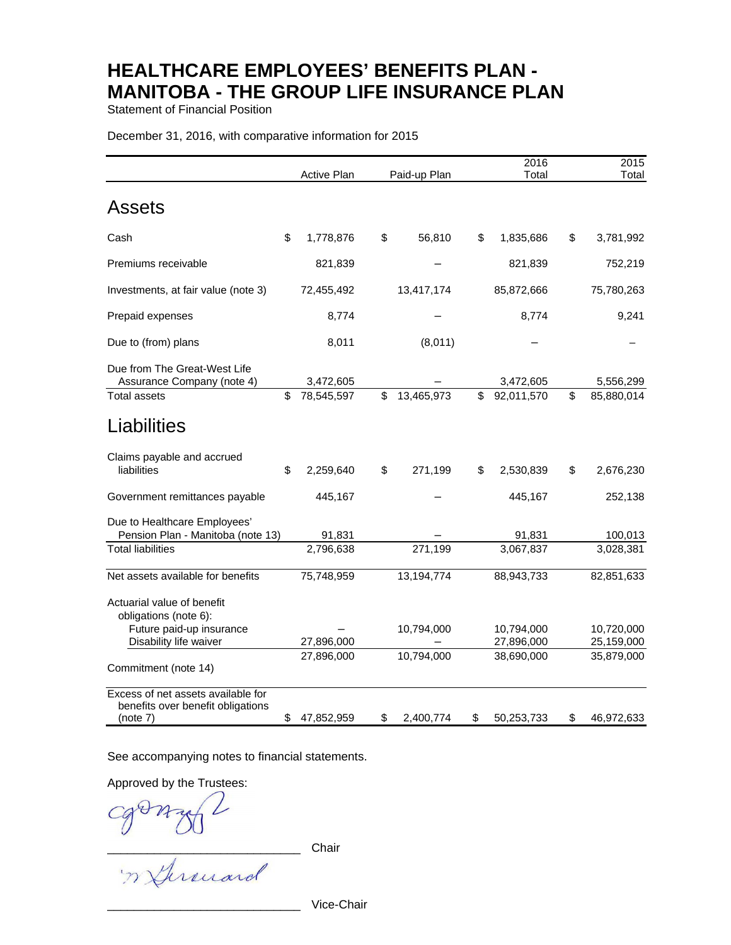Statement of Financial Position

#### December 31, 2016, with comparative information for 2015

|                                                                                     | Active Plan      | Paid-up Plan     | 2016<br>Total    | 2015<br>Total    |
|-------------------------------------------------------------------------------------|------------------|------------------|------------------|------------------|
| Assets                                                                              |                  |                  |                  |                  |
| Cash                                                                                | \$<br>1,778,876  | \$<br>56,810     | \$<br>1,835,686  | \$<br>3,781,992  |
| Premiums receivable                                                                 | 821,839          |                  | 821,839          | 752,219          |
| Investments, at fair value (note 3)                                                 | 72,455,492       | 13,417,174       | 85,872,666       | 75,780,263       |
| Prepaid expenses                                                                    | 8,774            |                  | 8,774            | 9,241            |
| Due to (from) plans                                                                 | 8,011            | (8,011)          |                  |                  |
| Due from The Great-West Life<br>Assurance Company (note 4)                          | 3,472,605        |                  | 3,472,605        | 5,556,299        |
| Total assets                                                                        | \$<br>78,545,597 | \$<br>13,465,973 | \$<br>92,011,570 | \$<br>85,880,014 |
| <b>Liabilities</b>                                                                  |                  |                  |                  |                  |
| Claims payable and accrued<br>liabilities                                           | \$<br>2,259,640  | \$<br>271,199    | \$<br>2,530,839  | \$<br>2,676,230  |
| Government remittances payable                                                      | 445,167          |                  | 445,167          | 252,138          |
| Due to Healthcare Employees'<br>Pension Plan - Manitoba (note 13)                   | 91,831           |                  | 91,831           | 100,013          |
| <b>Total liabilities</b>                                                            | 2,796,638        | 271,199          | 3,067,837        | 3,028,381        |
| Net assets available for benefits                                                   | 75,748,959       | 13,194,774       | 88,943,733       | 82,851,633       |
| Actuarial value of benefit<br>obligations (note 6):                                 |                  |                  |                  |                  |
| Future paid-up insurance                                                            |                  | 10,794,000       | 10,794,000       | 10,720,000       |
| Disability life waiver                                                              | 27,896,000       |                  | 27,896,000       | 25,159,000       |
| Commitment (note 14)                                                                | 27,896,000       | 10,794,000       | 38,690,000       | 35,879,000       |
| Excess of net assets available for<br>benefits over benefit obligations<br>(note 7) | \$<br>47,852,959 | \$<br>2,400,774  | \$<br>50,253,733 | \$<br>46,972,633 |

See accompanying notes to financial statements.

Approved by the Trustees:

Cgonzy L Cg

Vice-Chair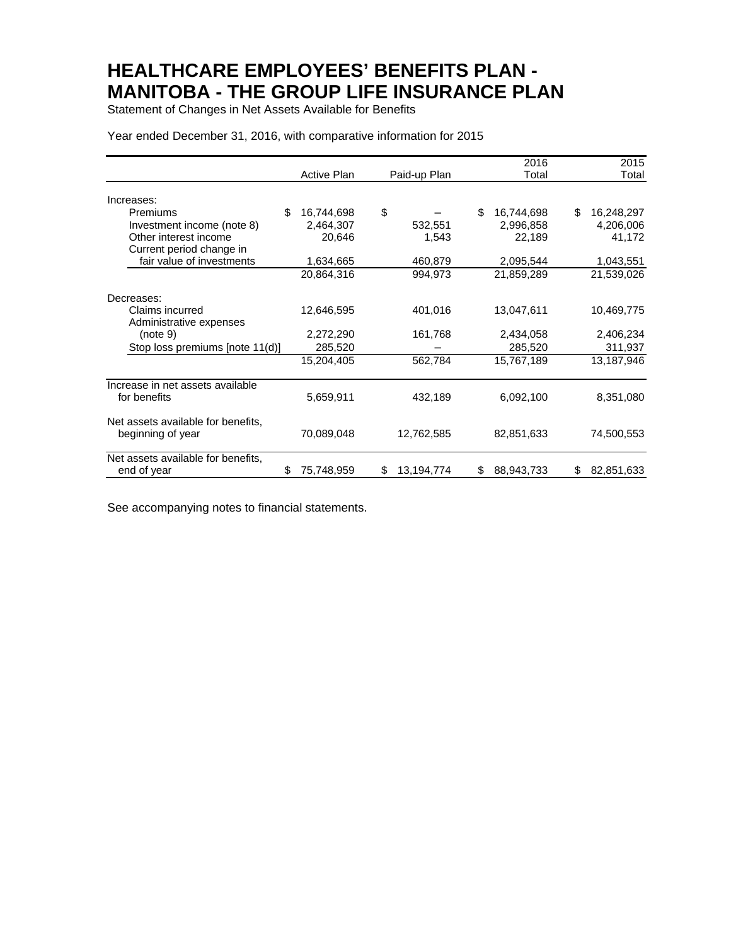Statement of Changes in Net Assets Available for Benefits

#### Year ended December 31, 2016, with comparative information for 2015

|                                    |                    |                  | 2016             | 2015             |
|------------------------------------|--------------------|------------------|------------------|------------------|
|                                    | <b>Active Plan</b> | Paid-up Plan     | Total            | Total            |
| Increases:                         |                    |                  |                  |                  |
| \$<br>Premiums                     | 16,744,698         | \$               | \$<br>16,744,698 | 16,248,297<br>\$ |
| Investment income (note 8)         | 2,464,307          | 532,551          | 2,996,858        | 4,206,006        |
| Other interest income              | 20,646             | 1,543            | 22,189           | 41,172           |
| Current period change in           |                    |                  |                  |                  |
| fair value of investments          | 1,634,665          | 460,879          | 2,095,544        | 1,043,551        |
|                                    | 20,864,316         | 994,973          | 21,859,289       | 21,539,026       |
| Decreases:                         |                    |                  |                  |                  |
| Claims incurred                    | 12,646,595         | 401,016          | 13,047,611       | 10,469,775       |
| Administrative expenses            |                    |                  |                  |                  |
| (note 9)                           | 2,272,290          | 161,768          | 2,434,058        | 2,406,234        |
| Stop loss premiums [note 11(d)]    | 285,520            |                  | 285,520          | 311,937          |
|                                    | 15,204,405         | 562,784          | 15,767,189       | 13,187,946       |
| Increase in net assets available   |                    |                  |                  |                  |
| for benefits                       | 5,659,911          | 432,189          | 6,092,100        | 8,351,080        |
| Net assets available for benefits, |                    |                  |                  |                  |
| beginning of year                  | 70,089,048         | 12,762,585       | 82,851,633       | 74,500,553       |
| Net assets available for benefits, |                    |                  |                  |                  |
| end of year<br>\$                  | 75,748,959         | 13,194,774<br>\$ | 88,943,733<br>\$ | 82,851,633<br>\$ |

See accompanying notes to financial statements.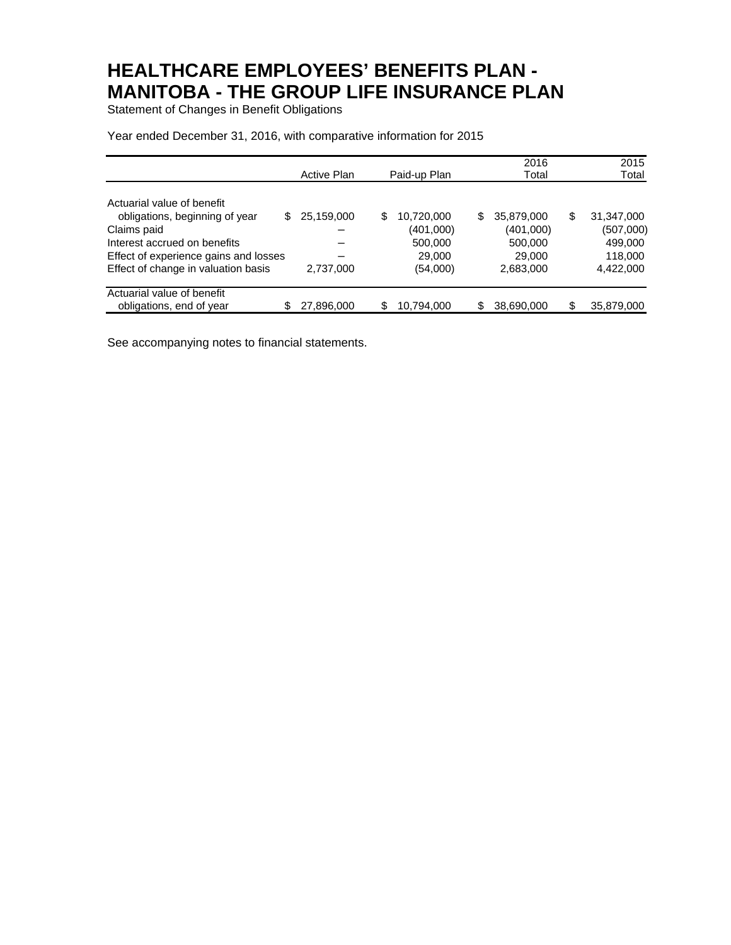Statement of Changes in Benefit Obligations

|                                       |    |                    |                  |    | 2016       | 2015             |
|---------------------------------------|----|--------------------|------------------|----|------------|------------------|
|                                       |    | <b>Active Plan</b> | Paid-up Plan     |    | Total      | Total            |
|                                       |    |                    |                  |    |            |                  |
| Actuarial value of benefit            |    |                    |                  |    |            |                  |
| obligations, beginning of year        | S. | 25,159,000         | \$<br>10,720,000 | \$ | 35,879,000 | \$<br>31,347,000 |
| Claims paid                           |    |                    | (401,000)        |    | (401,000)  | (507,000)        |
| Interest accrued on benefits          |    |                    | 500,000          |    | 500,000    | 499,000          |
| Effect of experience gains and losses |    |                    | 29,000           |    | 29,000     | 118,000          |
| Effect of change in valuation basis   |    | 2,737,000          | (54,000)         |    | 2,683,000  | 4,422,000        |
| Actuarial value of benefit            |    |                    |                  |    |            |                  |
| obligations, end of year              |    | 27,896,000         | \$<br>10,794,000 | S  | 38,690,000 | \$<br>35,879,000 |

Year ended December 31, 2016, with comparative information for 2015

See accompanying notes to financial statements.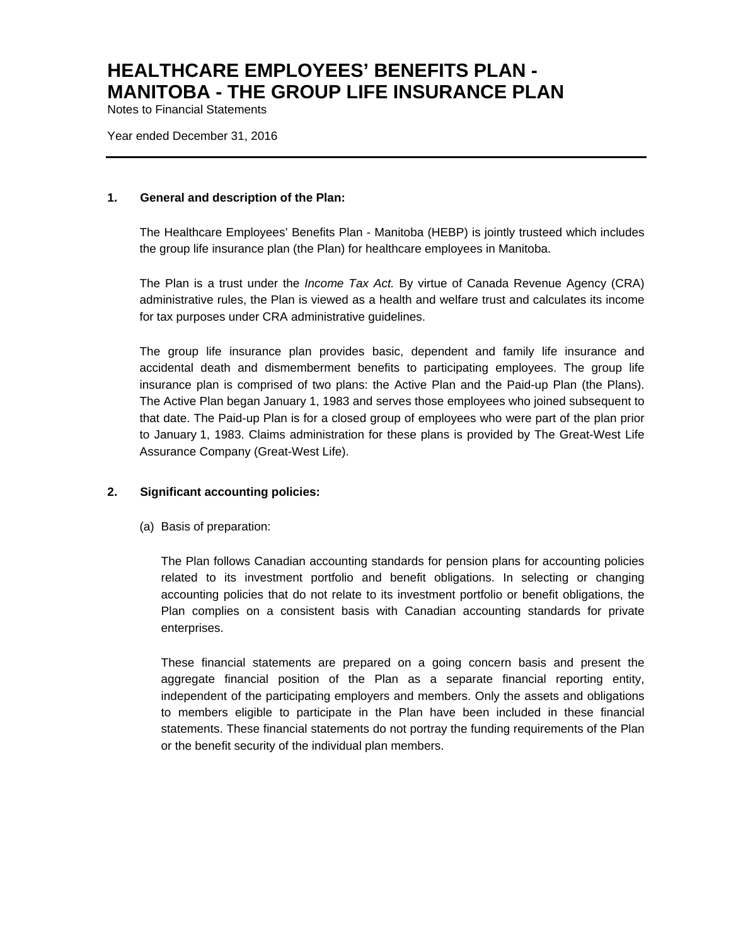Notes to Financial Statements

Year ended December 31, 2016

#### **1. General and description of the Plan:**

The Healthcare Employees' Benefits Plan - Manitoba (HEBP) is jointly trusteed which includes the group life insurance plan (the Plan) for healthcare employees in Manitoba.

The Plan is a trust under the *Income Tax Act.* By virtue of Canada Revenue Agency (CRA) administrative rules, the Plan is viewed as a health and welfare trust and calculates its income for tax purposes under CRA administrative guidelines.

The group life insurance plan provides basic, dependent and family life insurance and accidental death and dismemberment benefits to participating employees. The group life insurance plan is comprised of two plans: the Active Plan and the Paid-up Plan (the Plans). The Active Plan began January 1, 1983 and serves those employees who joined subsequent to that date. The Paid-up Plan is for a closed group of employees who were part of the plan prior to January 1, 1983. Claims administration for these plans is provided by The Great-West Life Assurance Company (Great-West Life).

### **2. Significant accounting policies:**

(a) Basis of preparation:

The Plan follows Canadian accounting standards for pension plans for accounting policies related to its investment portfolio and benefit obligations. In selecting or changing accounting policies that do not relate to its investment portfolio or benefit obligations, the Plan complies on a consistent basis with Canadian accounting standards for private enterprises.

These financial statements are prepared on a going concern basis and present the aggregate financial position of the Plan as a separate financial reporting entity, independent of the participating employers and members. Only the assets and obligations to members eligible to participate in the Plan have been included in these financial statements. These financial statements do not portray the funding requirements of the Plan or the benefit security of the individual plan members.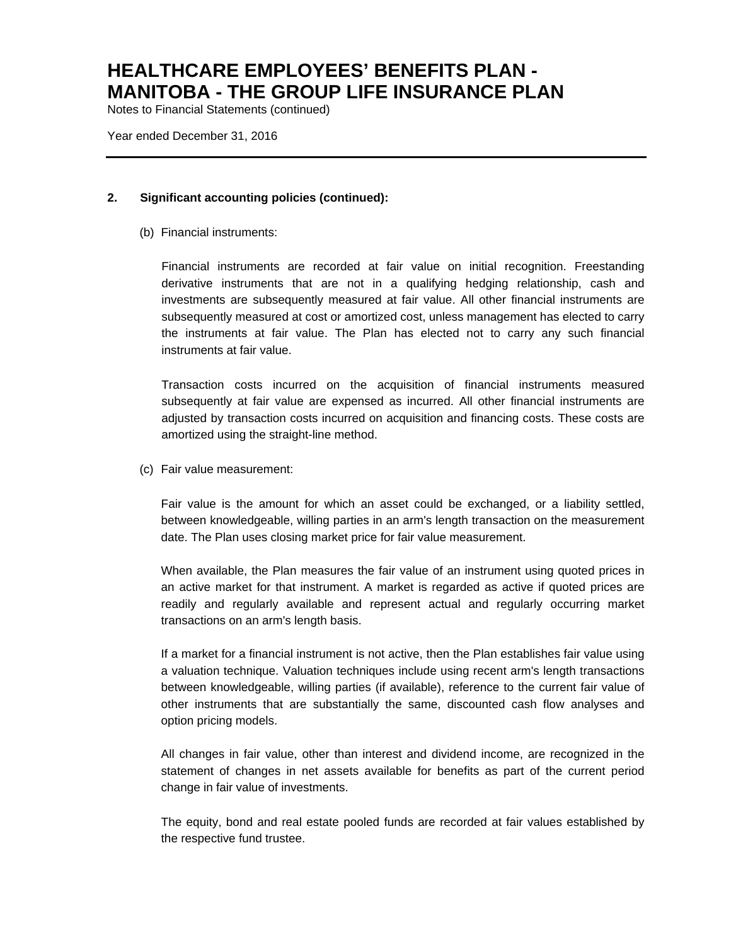Notes to Financial Statements (continued)

Year ended December 31, 2016

### **2. Significant accounting policies (continued):**

(b) Financial instruments:

Financial instruments are recorded at fair value on initial recognition. Freestanding derivative instruments that are not in a qualifying hedging relationship, cash and investments are subsequently measured at fair value. All other financial instruments are subsequently measured at cost or amortized cost, unless management has elected to carry the instruments at fair value. The Plan has elected not to carry any such financial instruments at fair value.

Transaction costs incurred on the acquisition of financial instruments measured subsequently at fair value are expensed as incurred. All other financial instruments are adjusted by transaction costs incurred on acquisition and financing costs. These costs are amortized using the straight-line method.

(c) Fair value measurement:

Fair value is the amount for which an asset could be exchanged, or a liability settled, between knowledgeable, willing parties in an arm's length transaction on the measurement date. The Plan uses closing market price for fair value measurement.

When available, the Plan measures the fair value of an instrument using quoted prices in an active market for that instrument. A market is regarded as active if quoted prices are readily and regularly available and represent actual and regularly occurring market transactions on an arm's length basis.

If a market for a financial instrument is not active, then the Plan establishes fair value using a valuation technique. Valuation techniques include using recent arm's length transactions between knowledgeable, willing parties (if available), reference to the current fair value of other instruments that are substantially the same, discounted cash flow analyses and option pricing models.

All changes in fair value, other than interest and dividend income, are recognized in the statement of changes in net assets available for benefits as part of the current period change in fair value of investments.

The equity, bond and real estate pooled funds are recorded at fair values established by the respective fund trustee.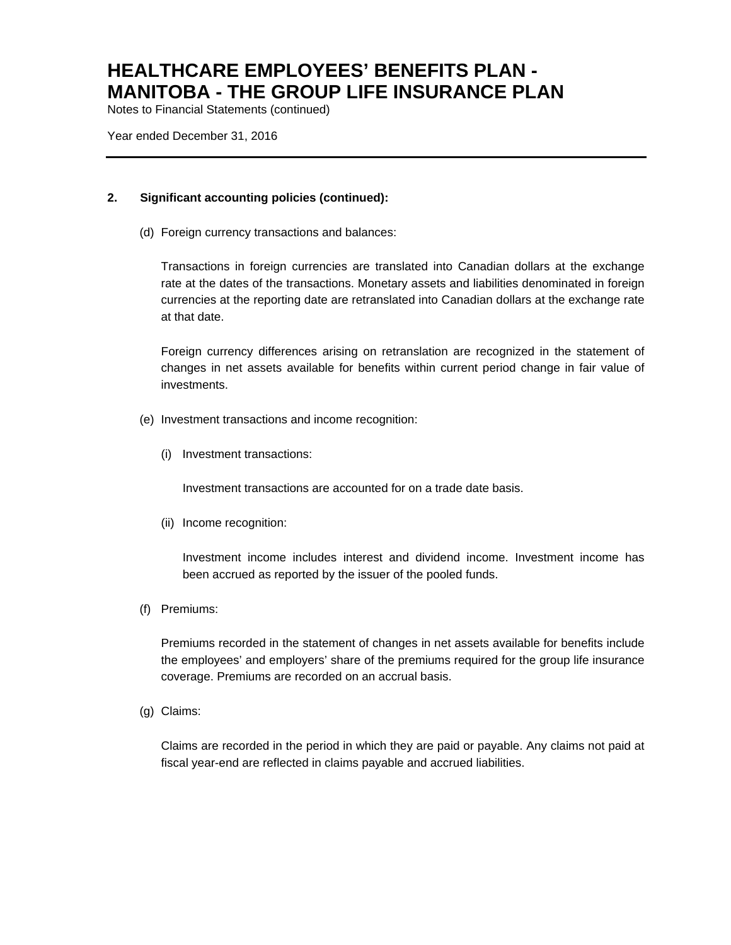Notes to Financial Statements (continued)

Year ended December 31, 2016

### **2. Significant accounting policies (continued):**

(d) Foreign currency transactions and balances:

Transactions in foreign currencies are translated into Canadian dollars at the exchange rate at the dates of the transactions. Monetary assets and liabilities denominated in foreign currencies at the reporting date are retranslated into Canadian dollars at the exchange rate at that date.

Foreign currency differences arising on retranslation are recognized in the statement of changes in net assets available for benefits within current period change in fair value of investments.

- (e) Investment transactions and income recognition:
	- (i) Investment transactions:

Investment transactions are accounted for on a trade date basis.

(ii) Income recognition:

Investment income includes interest and dividend income. Investment income has been accrued as reported by the issuer of the pooled funds.

(f) Premiums:

Premiums recorded in the statement of changes in net assets available for benefits include the employees' and employers' share of the premiums required for the group life insurance coverage. Premiums are recorded on an accrual basis.

(g) Claims:

 Claims are recorded in the period in which they are paid or payable. Any claims not paid at fiscal year-end are reflected in claims payable and accrued liabilities.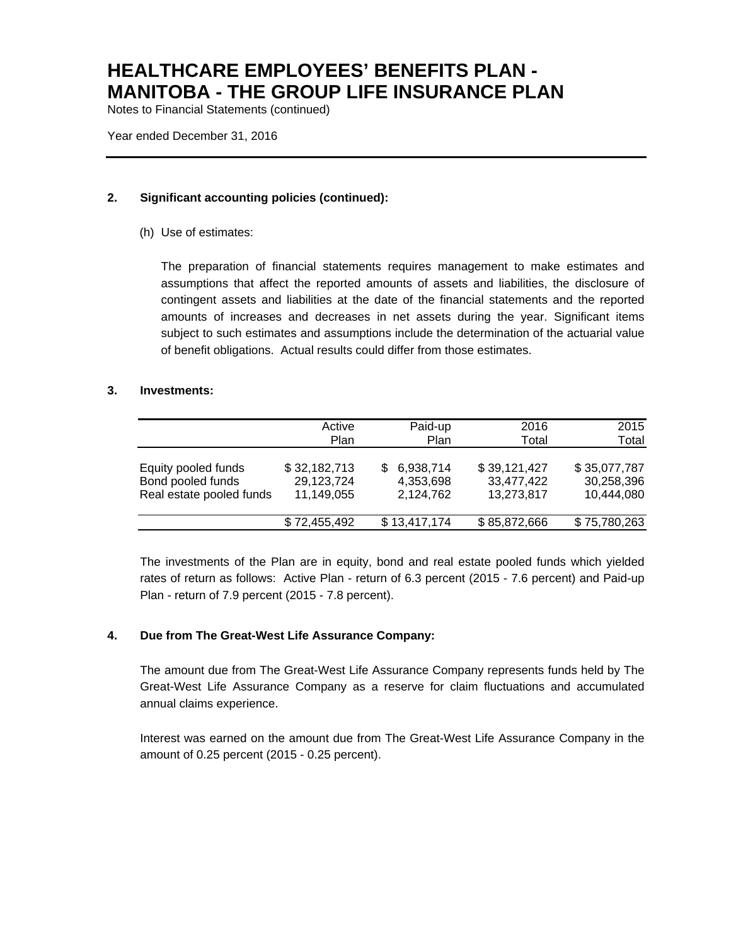Notes to Financial Statements (continued)

Year ended December 31, 2016

### **2. Significant accounting policies (continued):**

(h) Use of estimates:

The preparation of financial statements requires management to make estimates and assumptions that affect the reported amounts of assets and liabilities, the disclosure of contingent assets and liabilities at the date of the financial statements and the reported amounts of increases and decreases in net assets during the year. Significant items subject to such estimates and assumptions include the determination of the actuarial value of benefit obligations. Actual results could differ from those estimates.

### **3. Investments:**

|                                                                      | Active<br>Plan                           | Paid-up<br>Plan                           | 2016<br>Total                            | 2015<br>Total                            |
|----------------------------------------------------------------------|------------------------------------------|-------------------------------------------|------------------------------------------|------------------------------------------|
| Equity pooled funds<br>Bond pooled funds<br>Real estate pooled funds | \$32,182,713<br>29,123,724<br>11,149,055 | 6,938,714<br>S.<br>4,353,698<br>2,124,762 | \$39,121,427<br>33,477,422<br>13,273,817 | \$35,077,787<br>30,258,396<br>10,444,080 |
|                                                                      | \$72,455,492                             | \$13,417,174                              | \$85,872,666                             | \$75,780,263                             |

The investments of the Plan are in equity, bond and real estate pooled funds which yielded rates of return as follows: Active Plan - return of 6.3 percent (2015 - 7.6 percent) and Paid-up Plan - return of 7.9 percent (2015 - 7.8 percent).

### **4. Due from The Great-West Life Assurance Company:**

The amount due from The Great-West Life Assurance Company represents funds held by The Great-West Life Assurance Company as a reserve for claim fluctuations and accumulated annual claims experience.

Interest was earned on the amount due from The Great-West Life Assurance Company in the amount of 0.25 percent (2015 - 0.25 percent).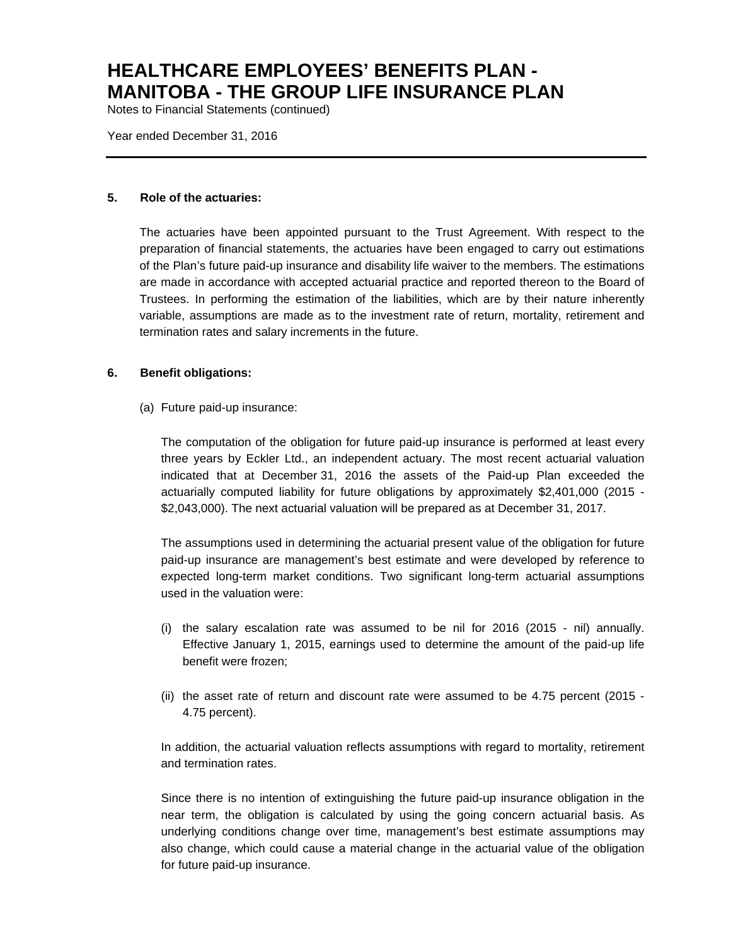Notes to Financial Statements (continued)

Year ended December 31, 2016

### **5. Role of the actuaries:**

The actuaries have been appointed pursuant to the Trust Agreement. With respect to the preparation of financial statements, the actuaries have been engaged to carry out estimations of the Plan's future paid-up insurance and disability life waiver to the members. The estimations are made in accordance with accepted actuarial practice and reported thereon to the Board of Trustees. In performing the estimation of the liabilities, which are by their nature inherently variable, assumptions are made as to the investment rate of return, mortality, retirement and termination rates and salary increments in the future.

#### **6. Benefit obligations:**

(a) Future paid-up insurance:

The computation of the obligation for future paid-up insurance is performed at least every three years by Eckler Ltd., an independent actuary. The most recent actuarial valuation indicated that at December 31, 2016 the assets of the Paid-up Plan exceeded the actuarially computed liability for future obligations by approximately \$2,401,000 (2015 - \$2,043,000). The next actuarial valuation will be prepared as at December 31, 2017.

The assumptions used in determining the actuarial present value of the obligation for future paid-up insurance are management's best estimate and were developed by reference to expected long-term market conditions. Two significant long-term actuarial assumptions used in the valuation were:

- (i) the salary escalation rate was assumed to be nil for 2016 (2015 nil) annually. Effective January 1, 2015, earnings used to determine the amount of the paid-up life benefit were frozen;
- (ii) the asset rate of return and discount rate were assumed to be 4.75 percent (2015 4.75 percent).

In addition, the actuarial valuation reflects assumptions with regard to mortality, retirement and termination rates.

Since there is no intention of extinguishing the future paid-up insurance obligation in the near term, the obligation is calculated by using the going concern actuarial basis. As underlying conditions change over time, management's best estimate assumptions may also change, which could cause a material change in the actuarial value of the obligation for future paid-up insurance.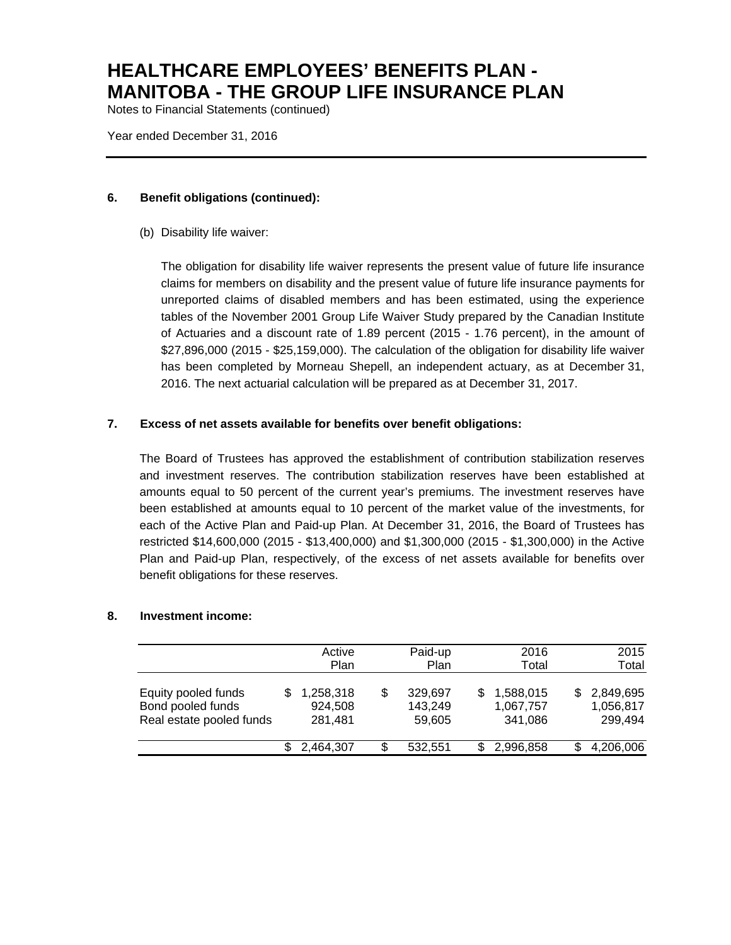Notes to Financial Statements (continued)

Year ended December 31, 2016

### **6. Benefit obligations (continued):**

(b) Disability life waiver:

The obligation for disability life waiver represents the present value of future life insurance claims for members on disability and the present value of future life insurance payments for unreported claims of disabled members and has been estimated, using the experience tables of the November 2001 Group Life Waiver Study prepared by the Canadian Institute of Actuaries and a discount rate of 1.89 percent (2015 - 1.76 percent), in the amount of \$27,896,000 (2015 - \$25,159,000). The calculation of the obligation for disability life waiver has been completed by Morneau Shepell, an independent actuary, as at December 31, 2016. The next actuarial calculation will be prepared as at December 31, 2017.

### **7. Excess of net assets available for benefits over benefit obligations:**

The Board of Trustees has approved the establishment of contribution stabilization reserves and investment reserves. The contribution stabilization reserves have been established at amounts equal to 50 percent of the current year's premiums. The investment reserves have been established at amounts equal to 10 percent of the market value of the investments, for each of the Active Plan and Paid-up Plan. At December 31, 2016, the Board of Trustees has restricted \$14,600,000 (2015 - \$13,400,000) and \$1,300,000 (2015 - \$1,300,000) in the Active Plan and Paid-up Plan, respectively, of the excess of net assets available for benefits over benefit obligations for these reserves.

#### **8. Investment income:**

|                                                                      | Active<br>Plan                  | Paid-up<br>Plan                    |   | 2016<br>Total                     | 2015<br>Total                     |
|----------------------------------------------------------------------|---------------------------------|------------------------------------|---|-----------------------------------|-----------------------------------|
| Equity pooled funds<br>Bond pooled funds<br>Real estate pooled funds | 1,258,318<br>924,508<br>281,481 | \$<br>329,697<br>143,249<br>59,605 | S | 1,588,015<br>1,067,757<br>341,086 | 2,849,695<br>1,056,817<br>299,494 |
|                                                                      | 2,464,307                       | \$<br>532,551                      | S | 2,996,858                         | 4,206,006                         |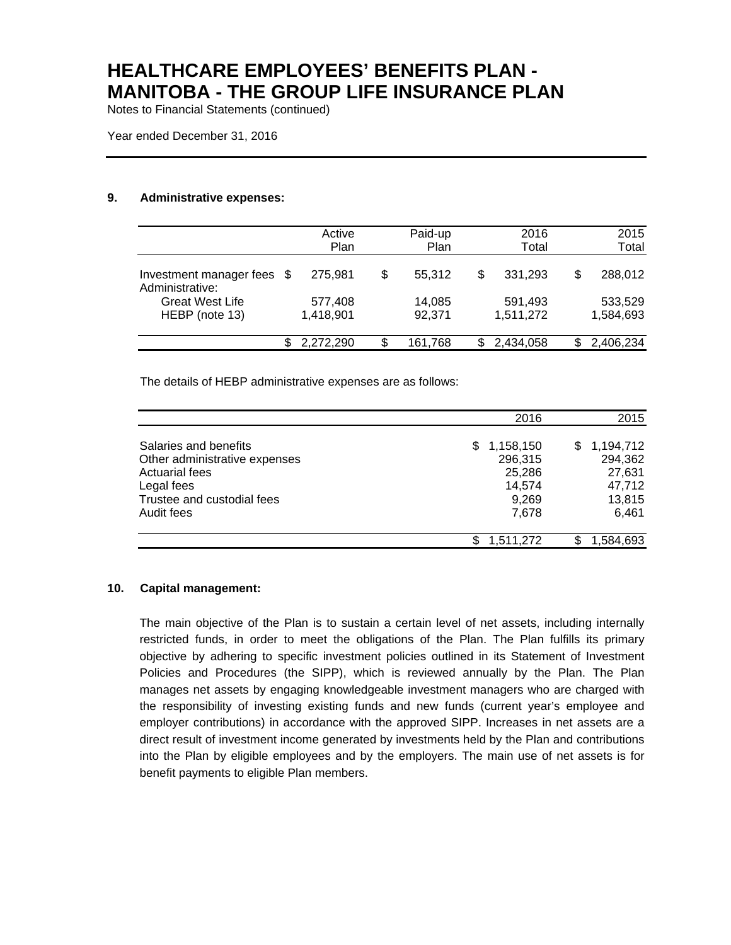Notes to Financial Statements (continued)

#### **9. Administrative expenses:**

|                                               | Active<br>Plan       | Paid-up<br>Plan  | 2016<br>Total        |   | 2015<br>Total        |
|-----------------------------------------------|----------------------|------------------|----------------------|---|----------------------|
| Investment manager fees \$<br>Administrative: | 275.981              | \$<br>55.312     | \$<br>331,293        | S | 288,012              |
| <b>Great West Life</b><br>HEBP (note 13)      | 577,408<br>1,418,901 | 14,085<br>92,371 | 591,493<br>1,511,272 |   | 533,529<br>1,584,693 |
|                                               | 2.272.290            | \$<br>161,768    | 2,434,058            |   | 2,406,234            |

The details of HEBP administrative expenses are as follows:

|                               | 2016             | 2015           |
|-------------------------------|------------------|----------------|
| Salaries and benefits         | 1,158,150<br>SS. | 1,194,712<br>S |
| Other administrative expenses | 296,315          | 294,362        |
| <b>Actuarial fees</b>         | 25,286           | 27,631         |
| Legal fees                    | 14.574           | 47,712         |
| Trustee and custodial fees    | 9,269            | 13,815         |
| Audit fees                    | 7.678            | 6.461          |
|                               | 1,511,272        | 1,584,693      |

#### **10. Capital management:**

The main objective of the Plan is to sustain a certain level of net assets, including internally restricted funds, in order to meet the obligations of the Plan. The Plan fulfills its primary objective by adhering to specific investment policies outlined in its Statement of Investment Policies and Procedures (the SIPP), which is reviewed annually by the Plan. The Plan manages net assets by engaging knowledgeable investment managers who are charged with the responsibility of investing existing funds and new funds (current year's employee and employer contributions) in accordance with the approved SIPP. Increases in net assets are a direct result of investment income generated by investments held by the Plan and contributions into the Plan by eligible employees and by the employers. The main use of net assets is for benefit payments to eligible Plan members.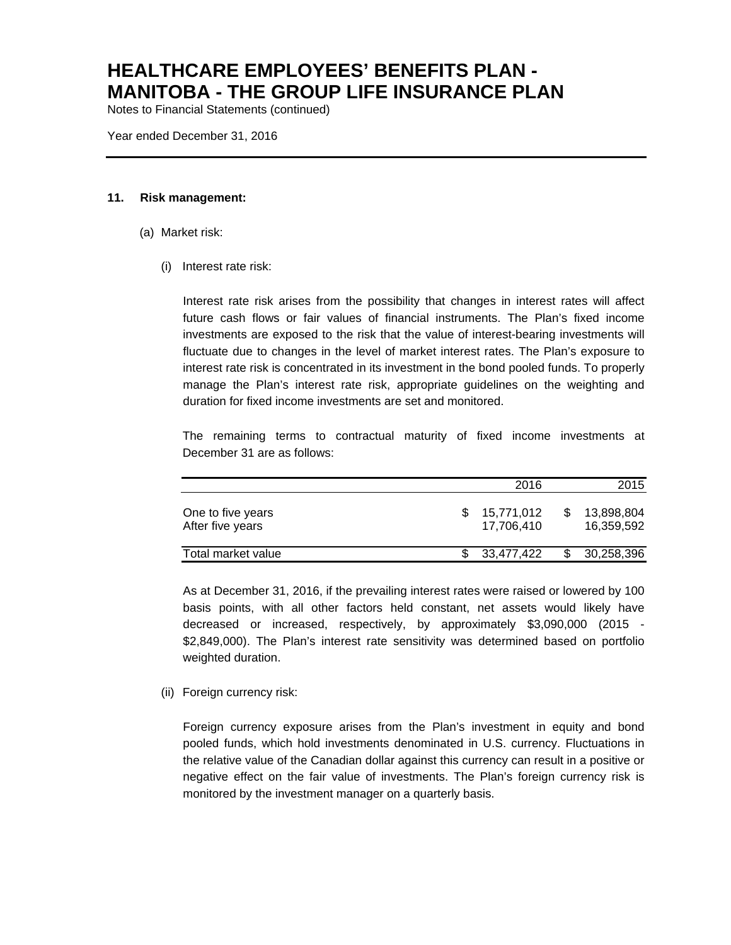Notes to Financial Statements (continued)

Year ended December 31, 2016

#### **11. Risk management:**

- (a) Market risk:
	- (i) Interest rate risk:

Interest rate risk arises from the possibility that changes in interest rates will affect future cash flows or fair values of financial instruments. The Plan's fixed income investments are exposed to the risk that the value of interest-bearing investments will fluctuate due to changes in the level of market interest rates. The Plan's exposure to interest rate risk is concentrated in its investment in the bond pooled funds. To properly manage the Plan's interest rate risk, appropriate guidelines on the weighting and duration for fixed income investments are set and monitored.

The remaining terms to contractual maturity of fixed income investments at December 31 are as follows:

|                                       | 2016                     | 2015                     |
|---------------------------------------|--------------------------|--------------------------|
| One to five years<br>After five years | 15,771,012<br>17.706.410 | 13,898,804<br>16.359.592 |
| Total market value                    | 33,477,422               | 30,258,396               |

As at December 31, 2016, if the prevailing interest rates were raised or lowered by 100 basis points, with all other factors held constant, net assets would likely have decreased or increased, respectively, by approximately \$3,090,000 (2015 - \$2,849,000). The Plan's interest rate sensitivity was determined based on portfolio weighted duration.

(ii) Foreign currency risk:

Foreign currency exposure arises from the Plan's investment in equity and bond pooled funds, which hold investments denominated in U.S. currency. Fluctuations in the relative value of the Canadian dollar against this currency can result in a positive or negative effect on the fair value of investments. The Plan's foreign currency risk is monitored by the investment manager on a quarterly basis.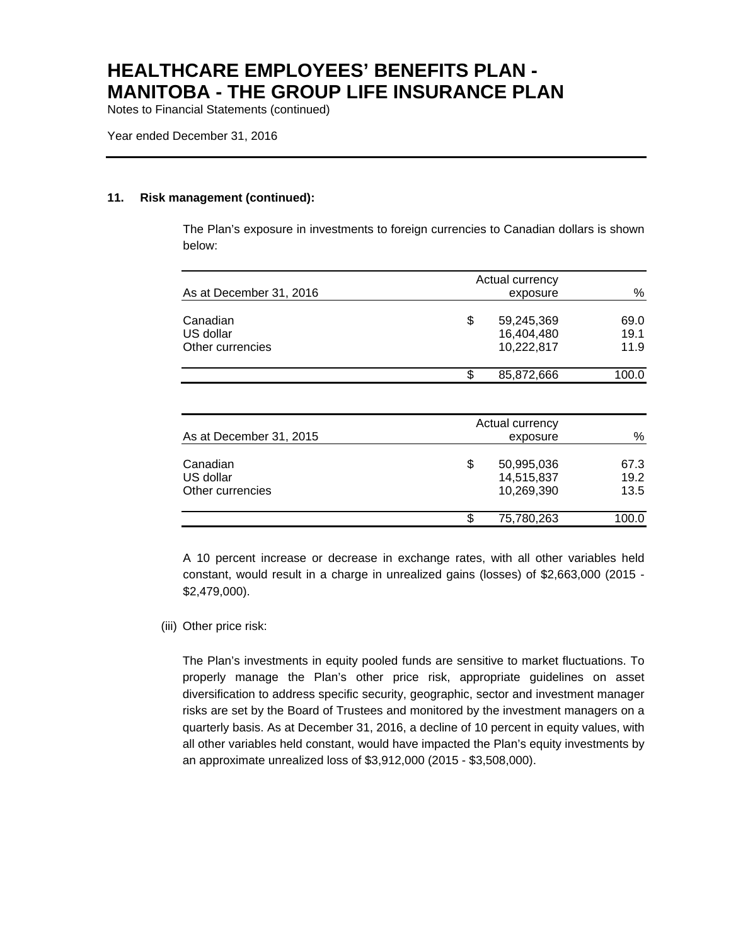Notes to Financial Statements (continued)

#### **11. Risk management (continued):**

The Plan's exposure in investments to foreign currencies to Canadian dollars is shown below:

| As at December 31, 2016                   | Actual currency<br>exposure                  | %                    |
|-------------------------------------------|----------------------------------------------|----------------------|
|                                           |                                              |                      |
| Canadian<br>US dollar<br>Other currencies | \$<br>59,245,369<br>16,404,480<br>10,222,817 | 69.0<br>19.1<br>11.9 |
|                                           | \$<br>85,872,666                             | 100.0                |
|                                           |                                              |                      |

| As at December 31, 2015                   | Actual currency<br>exposure |                                        |                      |  |  |
|-------------------------------------------|-----------------------------|----------------------------------------|----------------------|--|--|
| Canadian<br>US dollar<br>Other currencies | \$                          | 50,995,036<br>14,515,837<br>10,269,390 | 67.3<br>19.2<br>13.5 |  |  |
|                                           | S                           | 75,780,263                             | 100.0                |  |  |

A 10 percent increase or decrease in exchange rates, with all other variables held constant, would result in a charge in unrealized gains (losses) of \$2,663,000 (2015 - \$2,479,000).

### (iii) Other price risk:

The Plan's investments in equity pooled funds are sensitive to market fluctuations. To properly manage the Plan's other price risk, appropriate guidelines on asset diversification to address specific security, geographic, sector and investment manager risks are set by the Board of Trustees and monitored by the investment managers on a quarterly basis. As at December 31, 2016, a decline of 10 percent in equity values, with all other variables held constant, would have impacted the Plan's equity investments by an approximate unrealized loss of \$3,912,000 (2015 - \$3,508,000).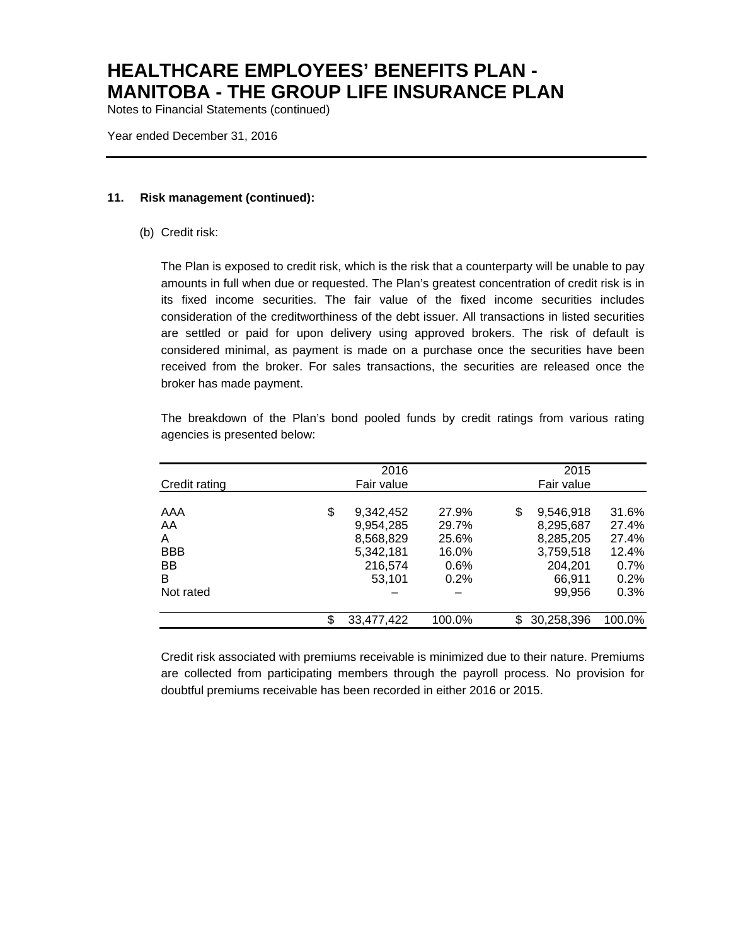Notes to Financial Statements (continued)

Year ended December 31, 2016

#### **11. Risk management (continued):**

(b) Credit risk:

The Plan is exposed to credit risk, which is the risk that a counterparty will be unable to pay amounts in full when due or requested. The Plan's greatest concentration of credit risk is in its fixed income securities. The fair value of the fixed income securities includes consideration of the creditworthiness of the debt issuer. All transactions in listed securities are settled or paid for upon delivery using approved brokers. The risk of default is considered minimal, as payment is made on a purchase once the securities have been received from the broker. For sales transactions, the securities are released once the broker has made payment.

The breakdown of the Plan's bond pooled funds by credit ratings from various rating agencies is presented below:

|               |     | 2016       |        | 2015           |         |
|---------------|-----|------------|--------|----------------|---------|
| Credit rating |     | Fair value |        | Fair value     |         |
|               |     |            |        |                |         |
| AAA           | \$  | 9,342,452  | 27.9%  | 9,546,918<br>S | 31.6%   |
| AA            |     | 9,954,285  | 29.7%  | 8,295,687      | 27.4%   |
| A             |     | 8,568,829  | 25.6%  | 8,285,205      | 27.4%   |
| <b>BBB</b>    |     | 5,342,181  | 16.0%  | 3,759,518      | 12.4%   |
| BB            |     | 216.574    | 0.6%   | 204.201        | $0.7\%$ |
| B             |     | 53.101     | 0.2%   | 66.911         | 0.2%    |
| Not rated     |     |            |        | 99.956         | 0.3%    |
|               | \$. | 33,477,422 | 100.0% | 30,258,396     | 100.0%  |

Credit risk associated with premiums receivable is minimized due to their nature. Premiums are collected from participating members through the payroll process. No provision for doubtful premiums receivable has been recorded in either 2016 or 2015.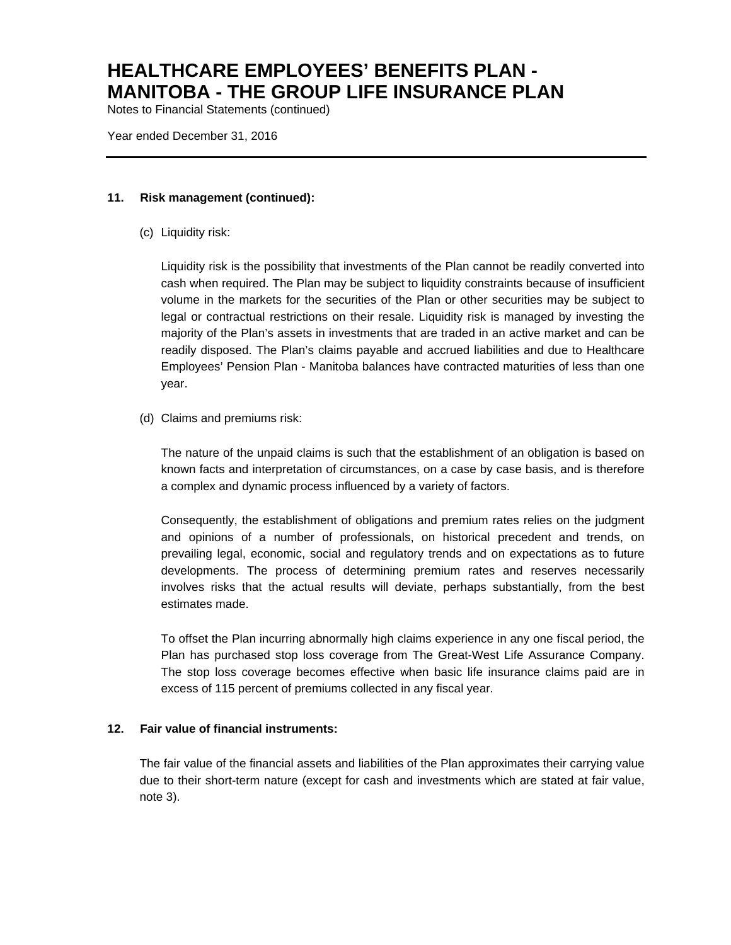Notes to Financial Statements (continued)

Year ended December 31, 2016

#### **11. Risk management (continued):**

(c) Liquidity risk:

Liquidity risk is the possibility that investments of the Plan cannot be readily converted into cash when required. The Plan may be subject to liquidity constraints because of insufficient volume in the markets for the securities of the Plan or other securities may be subject to legal or contractual restrictions on their resale. Liquidity risk is managed by investing the majority of the Plan's assets in investments that are traded in an active market and can be readily disposed. The Plan's claims payable and accrued liabilities and due to Healthcare Employees' Pension Plan - Manitoba balances have contracted maturities of less than one year.

(d) Claims and premiums risk:

The nature of the unpaid claims is such that the establishment of an obligation is based on known facts and interpretation of circumstances, on a case by case basis, and is therefore a complex and dynamic process influenced by a variety of factors.

Consequently, the establishment of obligations and premium rates relies on the judgment and opinions of a number of professionals, on historical precedent and trends, on prevailing legal, economic, social and regulatory trends and on expectations as to future developments. The process of determining premium rates and reserves necessarily involves risks that the actual results will deviate, perhaps substantially, from the best estimates made.

To offset the Plan incurring abnormally high claims experience in any one fiscal period, the Plan has purchased stop loss coverage from The Great-West Life Assurance Company. The stop loss coverage becomes effective when basic life insurance claims paid are in excess of 115 percent of premiums collected in any fiscal year.

#### **12. Fair value of financial instruments:**

The fair value of the financial assets and liabilities of the Plan approximates their carrying value due to their short-term nature (except for cash and investments which are stated at fair value, note 3).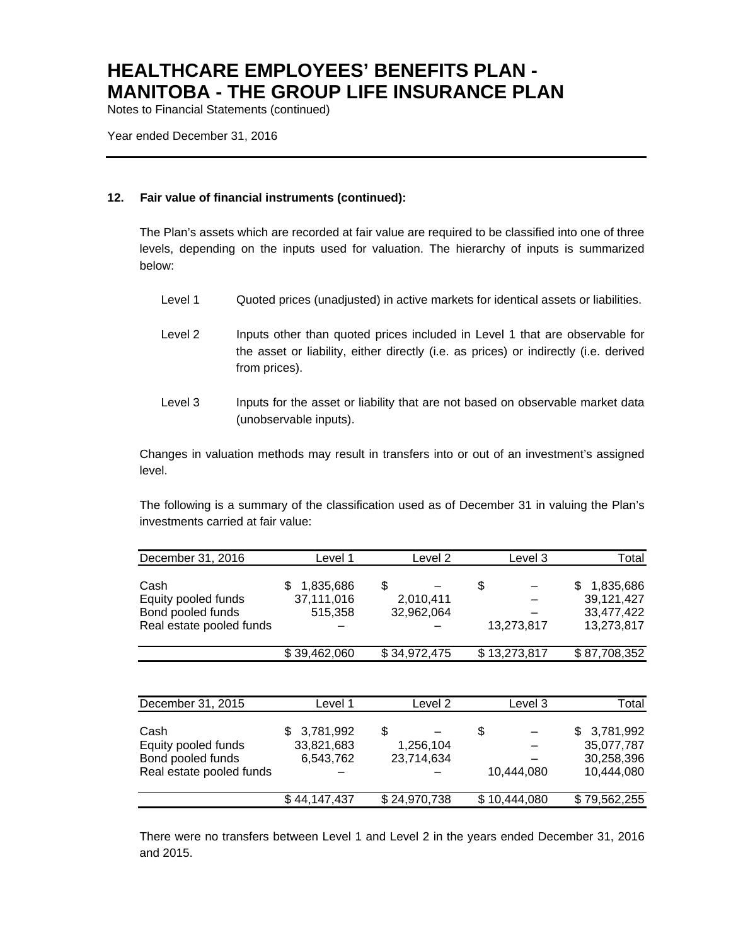Notes to Financial Statements (continued)

Year ended December 31, 2016

### **12. Fair value of financial instruments (continued):**

The Plan's assets which are recorded at fair value are required to be classified into one of three levels, depending on the inputs used for valuation. The hierarchy of inputs is summarized below:

- Level 1 Quoted prices (unadjusted) in active markets for identical assets or liabilities.
- Level 2 Inputs other than quoted prices included in Level 1 that are observable for the asset or liability, either directly (i.e. as prices) or indirectly (i.e. derived from prices).
- Level 3 Inputs for the asset or liability that are not based on observable market data (unobservable inputs).

Changes in valuation methods may result in transfers into or out of an investment's assigned level.

The following is a summary of the classification used as of December 31 in valuing the Plan's investments carried at fair value:

| December 31, 2016        | Level 1      | Level 2      | Level 3      | Total        |
|--------------------------|--------------|--------------|--------------|--------------|
|                          |              |              |              |              |
| Cash                     | 1,835,686    | S            | S            | 1,835,686    |
| Equity pooled funds      | 37,111,016   | 2,010,411    |              | 39,121,427   |
| Bond pooled funds        | 515.358      | 32,962,064   |              | 33,477,422   |
| Real estate pooled funds |              |              | 13,273,817   | 13,273,817   |
|                          | \$39,462,060 | \$34,972,475 | \$13,273,817 | \$87,708,352 |

| December 31, 2015        | Level 1      | Level 2      | Level 3      | Total        |
|--------------------------|--------------|--------------|--------------|--------------|
| Cash                     | \$3,781,992  | \$           | \$           | \$3,781,992  |
| Equity pooled funds      | 33,821,683   | 1,256,104    |              | 35,077,787   |
| Bond pooled funds        | 6,543,762    | 23,714,634   |              | 30,258,396   |
| Real estate pooled funds |              |              | 10.444.080   | 10,444,080   |
|                          | \$44.147.437 | \$24,970,738 | \$10,444,080 | \$79,562,255 |

There were no transfers between Level 1 and Level 2 in the years ended December 31, 2016 and 2015.